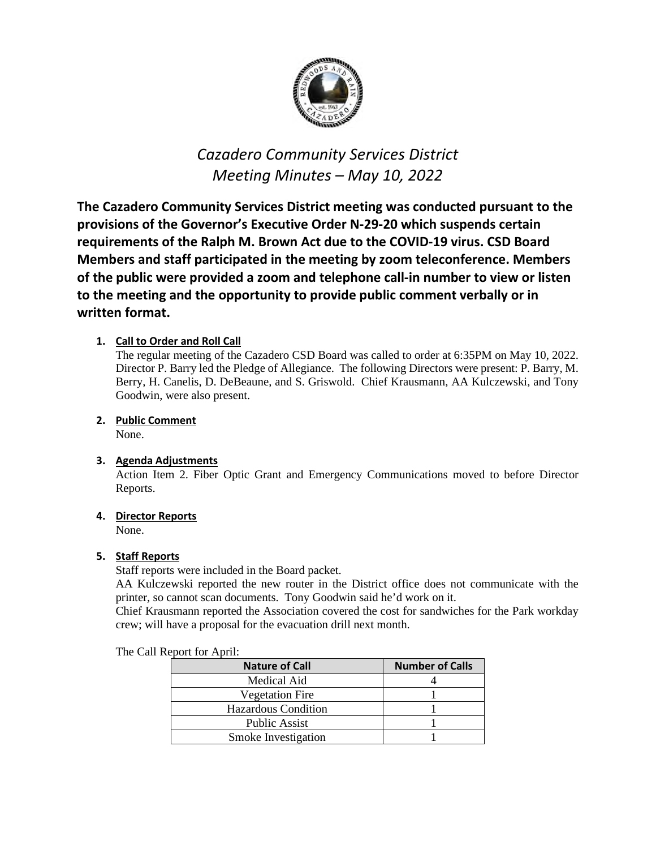

# *Cazadero Community Services District Meeting Minutes – May 10, 2022*

**The Cazadero Community Services District meeting was conducted pursuant to the provisions of the Governor's Executive Order N-29-20 which suspends certain requirements of the Ralph M. Brown Act due to the COVID-19 virus. CSD Board Members and staff participated in the meeting by zoom teleconference. Members of the public were provided a zoom and telephone call-in number to view or listen to the meeting and the opportunity to provide public comment verbally or in written format.**

# **1. Call to Order and Roll Call**

The regular meeting of the Cazadero CSD Board was called to order at 6:35PM on May 10, 2022. Director P. Barry led the Pledge of Allegiance. The following Directors were present: P. Barry, M. Berry, H. Canelis, D. DeBeaune, and S. Griswold. Chief Krausmann, AA Kulczewski, and Tony Goodwin, were also present.

# **2. Public Comment**

None.

## **3. Agenda Adjustments**

Action Item 2. Fiber Optic Grant and Emergency Communications moved to before Director Reports.

## **4. Director Reports**

None.

## **5. Staff Reports**

Staff reports were included in the Board packet.

AA Kulczewski reported the new router in the District office does not communicate with the printer, so cannot scan documents. Tony Goodwin said he'd work on it.

Chief Krausmann reported the Association covered the cost for sandwiches for the Park workday crew; will have a proposal for the evacuation drill next month.

#### The Call Report for April:

| <b>Nature of Call</b>      | <b>Number of Calls</b> |
|----------------------------|------------------------|
| Medical Aid                |                        |
| <b>Vegetation Fire</b>     |                        |
| <b>Hazardous Condition</b> |                        |
| <b>Public Assist</b>       |                        |
| Smoke Investigation        |                        |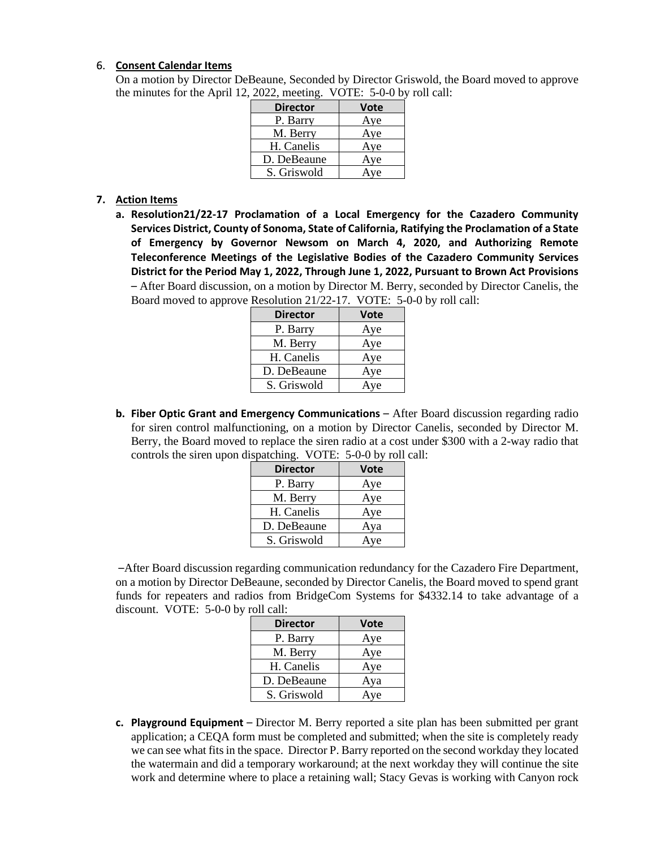#### 6. **Consent Calendar Items**

On a motion by Director DeBeaune, Seconded by Director Griswold, the Board moved to approve the minutes for the April 12, 2022, meeting. VOTE: 5-0-0 by roll call:

| <b>Director</b> | Vote |
|-----------------|------|
| P. Barry        | Aye  |
| M. Berry        | Aye  |
| H. Canelis      | Aye  |
| D. DeBeaune     | Aye  |
| S. Griswold     | Ave  |

#### **7. Action Items**

**a. Resolution21/22-17 Proclamation of a Local Emergency for the Cazadero Community Services District, County of Sonoma, State of California, Ratifying the Proclamation of a State of Emergency by Governor Newsom on March 4, 2020, and Authorizing Remote Teleconference Meetings of the Legislative Bodies of the Cazadero Community Services District for the Period May 1, 2022, Through June 1, 2022, Pursuant to Brown Act Provisions**  – After Board discussion, on a motion by Director M. Berry, seconded by Director Canelis, the Board moved to approve Resolution 21/22-17. VOTE: 5-0-0 by roll call:

| <b>Director</b> | <b>Vote</b> |
|-----------------|-------------|
| P. Barry        | Aye         |
| M. Berry        | Aye         |
| H. Canelis      | Aye         |
| D. DeBeaune     | Aye         |
| S. Griswold     | Aye         |

**b.** Fiber Optic Grant and Emergency Communications – After Board discussion regarding radio for siren control malfunctioning, on a motion by Director Canelis, seconded by Director M. Berry, the Board moved to replace the siren radio at a cost under \$300 with a 2-way radio that controls the siren upon dispatching. VOTE: 5-0-0 by roll call:

| <b>Director</b> | <b>Vote</b> |
|-----------------|-------------|
| P. Barry        | Aye         |
| M. Berry        | Aye         |
| H. Canelis      | Aye         |
| D. DeBeaune     | Aya         |
| S. Griswold     | Aye         |

–After Board discussion regarding communication redundancy for the Cazadero Fire Department, on a motion by Director DeBeaune, seconded by Director Canelis, the Board moved to spend grant funds for repeaters and radios from BridgeCom Systems for \$4332.14 to take advantage of a discount. VOTE: 5-0-0 by roll call:

| <b>Director</b> | <b>Vote</b> |
|-----------------|-------------|
| P. Barry        | Aye         |
| M. Berry        | Aye         |
| H. Canelis      | Aye         |
| D. DeBeaune     | Aya         |
| S. Griswold     | Aye         |

**c. Playground Equipment** – Director M. Berry reported a site plan has been submitted per grant application; a CEQA form must be completed and submitted; when the site is completely ready we can see what fits in the space. Director P. Barry reported on the second workday they located the watermain and did a temporary workaround; at the next workday they will continue the site work and determine where to place a retaining wall; Stacy Gevas is working with Canyon rock